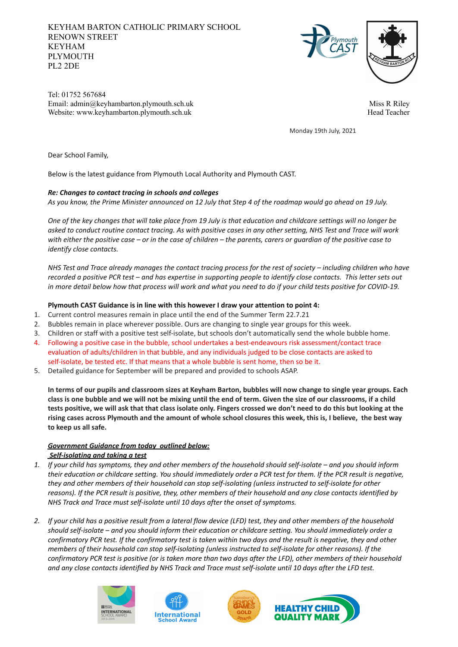# KEYHAM BARTON CATHOLIC PRIMARY SCHOOL RENOWN STREET KEYHAM PLYMOUTH PL2 2DE





Tel: 01752 567684 Email: admin@keyhambarton.plymouth.sch.uk Website: www.keyhambarton.plymouth.sch.uk

Miss R Riley Head Teacher

Monday 19th July, 2021

Dear School Family,

Below is the latest guidance from Plymouth Local Authority and Plymouth CAST.

#### *Re: Changes to contact tracing in schools and colleges*

As you know, the Prime Minister announced on 12 July that Step 4 of the roadmap would go ahead on 19 July.

One of the key changes that will take place from 19 July is that education and childcare settings will no longer be asked to conduct routine contact tracing. As with positive cases in any other setting, NHS Test and Trace will work with either the positive case – or in the case of children – the parents, carers or quardian of the positive case to *identify close contacts.*

NHS Test and Trace already manages the contact tracing process for the rest of society - including children who have recorded a positive PCR test - and has expertise in supporting people to identify close contacts. This letter sets out in more detail below how that process will work and what you need to do if your child tests positive for COVID-19.

### **Plymouth CAST Guidance is in line with this however I draw your attention to point 4:**

- 1. Current control measures remain in place until the end of the Summer Term 22.7.21
- 2. Bubbles remain in place wherever possible. Ours are changing to single year groups for this week.
- 3. Children or staff with a positive test self-isolate, but schools don't automatically send the whole bubble home.
- 4. Following a positive case in the bubble, school undertakes a best-endeavours risk assessment/contact trace evaluation of adults/children in that bubble, and any individuals judged to be close contacts are asked to self-isolate, be tested etc. If that means that a whole bubble is sent home, then so be it.
- 5. Detailed guidance for September will be prepared and provided to schools ASAP.

In terms of our pupils and classroom sizes at Keyham Barton, bubbles will now change to single year groups. Each class is one bubble and we will not be mixing until the end of term. Given the size of our classrooms, if a child tests positive, we will ask that that class isolate only. Fingers crossed we don't need to do this but looking at the rising cases across Plymouth and the amount of whole school closures this week, this is, I believe, the best way **to keep us all safe.**

### *Government Guidance from today outlined below: Self-isolating and taking a test*

- 1. If your child has symptoms, they and other members of the household should self-isolate and you should inform their education or childcare setting. You should immediately order a PCR test for them. If the PCR result is negative, *they and other members of their household can stop self-isolating (unless instructed to self-isolate for other* reasons). If the PCR result is positive, they, other members of their household and any close contacts identified by *NHS Track and Trace must self-isolate until 10 days after the onset of symptoms.*
- 2. If your child has a positive result from a lateral flow device (LFD) test, they and other members of the household should self-isolate - and you should inform their education or childcare setting. You should immediately order a confirmatory PCR test. If the confirmatory test is taken within two days and the result is negative, they and other *members of their household can stop self-isolating (unless instructed to self-isolate for other reasons). If the* confirmatory PCR test is positive (or is taken more than two days after the LFD), other members of their household and any close contacts identified by NHS Track and Trace must self-isolate until 10 days after the LFD test.